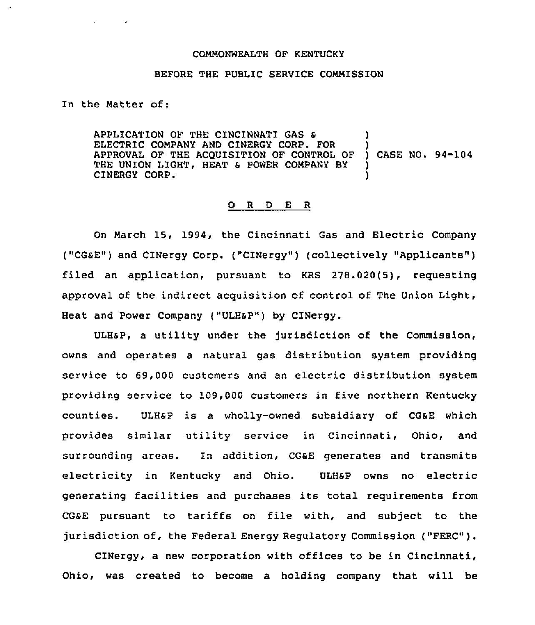#### COMMONWEALTH OF KENTUCKY

### BEFORE THE PUBLIC SERVICE COMMISSION

In the Matter of:

APPLICATION OF THE CINCINNATI GAS & ELECTRIC COMPANY AND CINERGY CORP. FOR APPROVAL OF THE ACQUISITION OF CONTROL OF ) CASE NO. 94-104 THE UNION LIGHT, HEAT & POWER COMPANY BY CINERGY CORP.

#### 0 <sup>R</sup> <sup>D</sup> E <sup>R</sup>

On March 15, 1994, the Cincinnati Gas and Electric Company ("CG&E") and CINergy Corp. ("CINergy") (collectively "Applicants") filed an application, pursuant to KRS 278.020(5), requesting approval of the indirect acquisition of control of The Union Light, Heat and Power Company ("ULH&P") by CINergy.

ULHsP, a utility under the jurisdiction of the Commission, owns and operates a natural gas distribution system providing service to 69,000 customers and an electric distribution system providing service to 109,000 customers in five northern Kentucky counties. ULHsP is a wholly-owned subsidiary of CGsE which provides similar utility service in Cincinnati, Ohio, and surrounding areas. In addition, CGsE generates and transmits electricity in Kentucky and Ohio. ULHSP owns no electric generating facilities and purchases its total requirements from CG&E pursuant to tariffs on file with, and subject to the jurisdiction of, the Federal Energy Regulatory Commission ("FERC").

CINergy, a new corporation with offices to be in Cincinnati, Ohio, was created to become a holding company that will be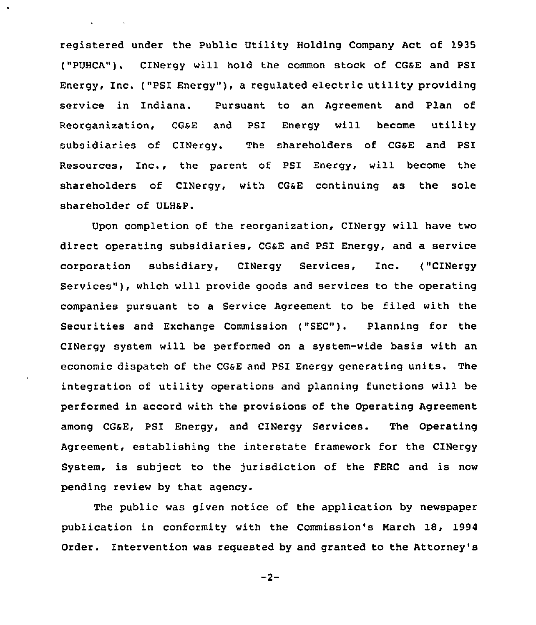registered under the Public Utility Holding Company Act of 1935 ("PUHCA"). CINergy will hold the common stock of CG6E and PSI Energy, Inc. ("PSI Energy" ), <sup>a</sup> regulated electric utility providing service in Indiana. Pursuant to an Agreement and Plan of Reorganization, CGsE and PSI Energy will become utility subsidiaries of CINergy. The shareholders of CGaE and PSI Resources, Inc., the parent of PSI Energy, will become the shareholders of CINergy, with CG&E continuing as the sole shareholder of ULHSP.

Upon completion of the reorganization, CINergy will have two direct operating subsidiaries, CGSE and PSI Energy, and a service corporation subsidiary, CINergy Services, Inc. ("CINergy Services" ), which will provide goods and services to the operating companies pursuant to a Service Agreement to be filed with the Securities and Exchange Commission ("SEC"). Planning for the CINergy system will be performed on a system-wide basis with an economic dispatch of the CGSE and PSI Energy generating units. The integration of utility operations and planning functions will be performed in accord with the provisions of the Operating Agreement among CGSE, PSI Energy, and CINergy Services. The Operating Agreement, establishing the interstate framework for the CINergy System, is subject to the jurisdiction of the FERC and is now pending review by that agency.

The public was given notice of the application by newspaper publication in conformity with the Commission's March 18, 1994 Order. Intervention was requested by and granted to the Attorney's

 $-2-$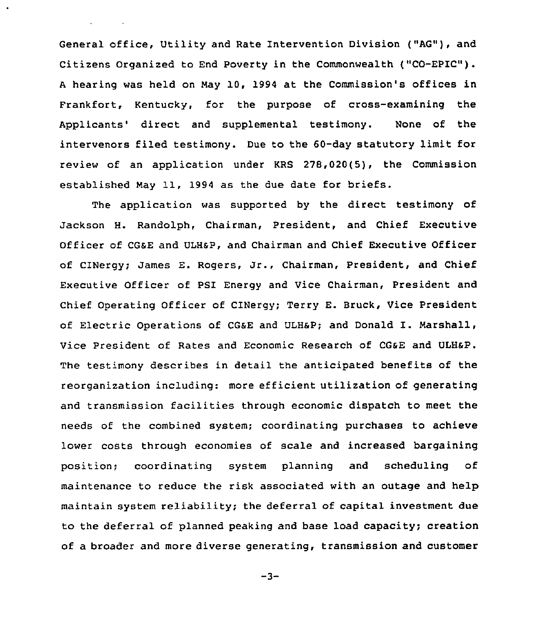General office, Utility and Rate Intervention Division ("AG"), and Citizens Organized to End Poverty in the Commonwealth ("CO-EPIC" ). <sup>A</sup> hearing was held on May 10, 1994 at the Commission's offices in Frankfort, Kentucky, for the purpose of cross-examining the Applicants' direct and supplemental testimony. None of the intervenors filed testimony. Due to the 60-day statutory limit for review of an application under KRS 278,020(5), the Commission established May 11, 1994 as the due date for briefs.

The application was supported by the direct testimony of Jackson H. Randolph, Chairman, President, and Chief Executive Officer of CGSE and ULHsP, and Chairman and Chief Executive Officer of CINergy; James E. Rogers, Jr., Chairman, President, and Chief Executive Officer of PSI Energy and Vice Chairman, President and Chief Operating Officer of CINergy; Terry E. Bruck, Vice President of Electric Operations of CGsE and ULHsP; and Donald I. Marshall, Vice President of Rates and Economic Research of CGSE and ULHap. The testimony describes in detail the anticipated benefits of the reorganization including: more efficient utilization of generating and transmission facilities through economic dispatch to meet the needs of the combined system; coordinating purchases to achieve lower costs through economies of scale and increased bargaining position; coordinating system planning and scheduling of maintenance to reduce the risk associated with an outage and help maintain system reliability; the deferral of capital investment due to the deferral of planned peaking and base load capacity; creation of a broader and more diverse generating, transmission and customer

 $-3-$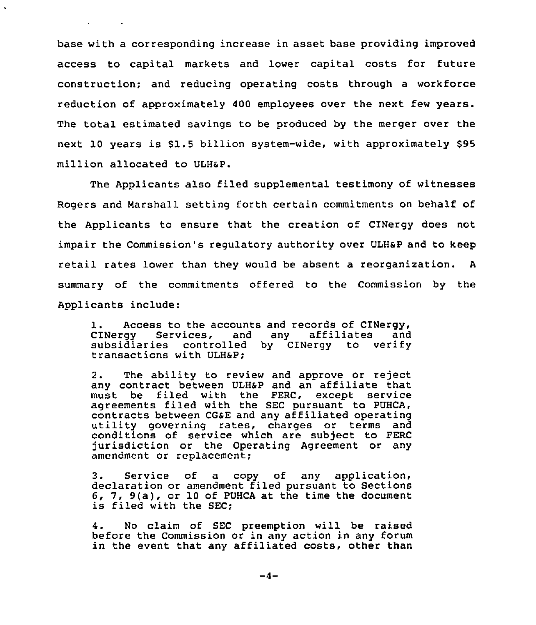base with a corresponding increase in asset base providing improved access to capital markets and lower capital costs for future construction; and reducing operating costs through a workforce reduction of approximately 400 employees over the next few years. The total estimated savings to be produced by the merger over the next 10 years is S1.5 billion system-wide, with approximately \$95 million allocated to ULH6P.

The Applicants also filed supplemental testimony of witnesses Rogers and Marshall setting forth certain commitments on behalf of the Applicants to ensure that the creation of CINergy does not impair the Commission's regulatory authority over ULH6P and to keep retail rates lower than they would be absent a reorganization. <sup>A</sup> summary of the commitments offered to the Commission by the Applicants include:

1. Access to the accounts and records of CINergy 1. Access to the accounts and records of cinery, CINergy Services, and any affiliates and<br>subsidiaries controlled by CINergy to verify transactions with ULH6P;

2. The ability to review and approve or reject any contract between ULH&P and an affiliate that must be filed with the FERC, except service agreements filed with the SEC pursuant to PUHCA contracts between CG6E and any affiliated operating utility governing rates, charges or terms and conditions of service which are subject to FERC jurisdiction or the Operating Agreement or any amendment or replacement;

3. Service of a copy of any application, declaration or amendment filed pursuant to Sections 6, 7, 9(a), or <sup>10</sup> of PUHCA at the time the document is filed with the SEC;

4. No claim of SEC preemption will be raised before the Commission or in any action in any forum in the event that any affiliated costs, other than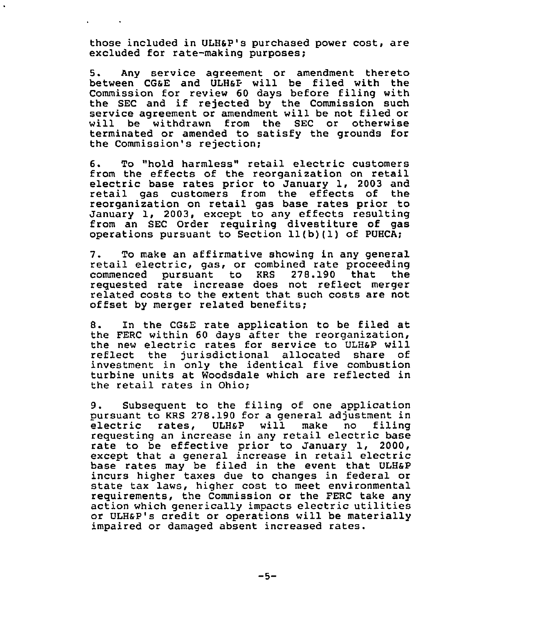those included in ULHSP's purchased power cost, are excluded for rate-making purposes;

5. Any service agreement or amendment thereto between CGSE and ULHap will be filed with the Commission for review 60 days before filing with the SEC and if rejected by the Commission such service agreement or amendment will be not filed or will be withdrawn from the SEC or otherwise terminated or amended to satisfy the grounds for the Commission's rejection;

6. To "hold harmless" retail electric customers electric base rates prior to January 1, 2003 and<br>retail gas customers from the effects of the reorganization on retail gas base rates prior to January 1, 2003, except to any effects resulting from an SEC Order requiring divestiture of gas operations pursuant to Section 11(b)(1) of PUHCA;

7. To make an affirmative showing in any general retail electric, gas, or combined rate proceeding commenced pursuant to requested rate increase does not reflect merger related costs to the extent that such costs are not offset by merger related benefits;

B. In the CGsE rate application to be filed at the FERC within 60 days after the reorganization,<br>the new electric rates for service to ULH&P will reflect the jurisdictional allocated share of investment in only the identical five combustion turbine units at Woodsdale which are reflected in the retail rates in Ohio;

9. Subsequent to the filing of one application<br>pursuant to KRS 278.190 for a general adjustment in electric rates, ULH&P will make no filing requesting an increase in any retail electric base rate to be effective prior to January 1, 2000, except that a general increase in retail electric base rates may be filed in the event that ULHsP incurs higher taxes due to changes in federal or state tax laws, higher cost to meet environmental requirements, the Commission or the FERC take any action which generically impacts electric utilities or ULHsP's credit or operations will be materially impaired or damaged absent increased rates.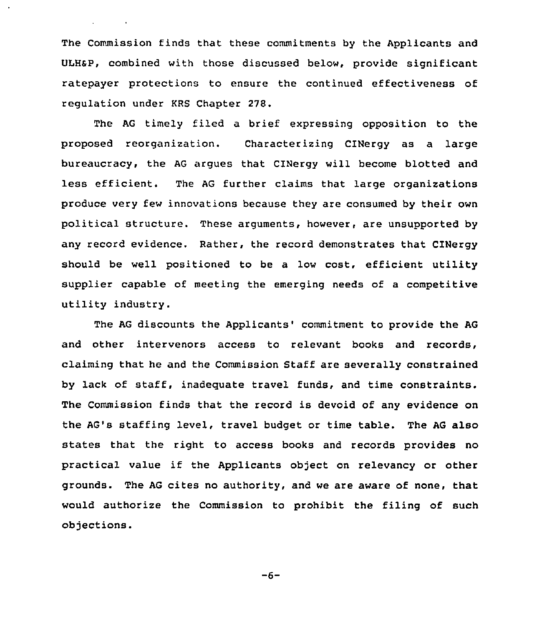The Commission finds that these commitments by the Applicants and ULHsp, combined with those discussed below, provide significant ratepayer protections to ensure the continued effectiveness of regulation under KRS Chapter 27S.

**Contractor** 

The AG timely filed a brief expressing opposition to the proposed reorganization. Characterizing CINergy as a large bureaucracy, the AG argues that CINergy will become blotted and less efficient. The AG further claims that large organizations produce very few innovations because they are consumed by their own political structure. These arguments, however, are unsupported by any record evidence. Rather, the record demonstrates that CINergy should be well positioned to be a low cost, efficient utility supplier capable of meeting the emerging needs of a competitive utility industry.

The AG discounts the Applicants'ommitment to provide the AG and other intervenors access to relevant books and records, claiming that he and the Commission Staff are severally constrained by lack of staff, inadequate travel funds, and time constraints. The Commission finds that the record is devoid of any evidence on the AG's staffing level, travel budget or time table. The AG also states that the right to access books and records provides no practical value if the Applicants object on relevancy or other grounds. The AG cites no authority, and we are aware of none, that would authorize the Commission to prohibit the filing of such objections.

 $-6-$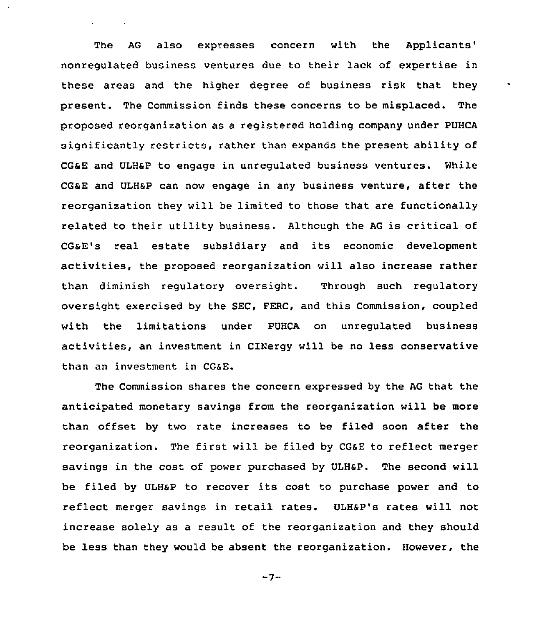The AG also expresses concern with the Applicants' nonregulated business ventures due to their lack of expertise in these areas and the higher degree of business risk that they present. The Commission finds these concerns to be misplaced. The proposed reorganization as a registered holding company under PUHCA significantly restricts, rather than expands the present ability of CGaE and ULHSP to engage in unregulated business ventures. While CGSE and ULHSP can now engage in any business venture, after the reorganization they will be limited to those that are functionally related to their utility business. Although the AG is critical of CGaE's real estate subsidiary and its economic development activities, the proposed reorganization will also increase rather than diminish regulatory oversight. Through such regulatory oversight exercised by the SEC, FERC, and this Commission, coupled with the limitations under PUHCA on unregulated business activities, an investment in CINergy will be no less conservative than an investment in CG6E.

The Commission shares the concern expressed by the AG that the anticipated monetary savings from the reorganization will be more than offset by two rate increases to be filed soon after the reorganization. The first will be filed by CGaE to reflect merger savings in the cost of power purchased by ULHSP. The second will be filed by ULHSP to recover its cost to purchase power and to reflect merger savings in retail rates. ULH&P's rates will not increase solely as a result of the reorganization and they should be less than they would be absent the reorganization. However, the

 $-7-$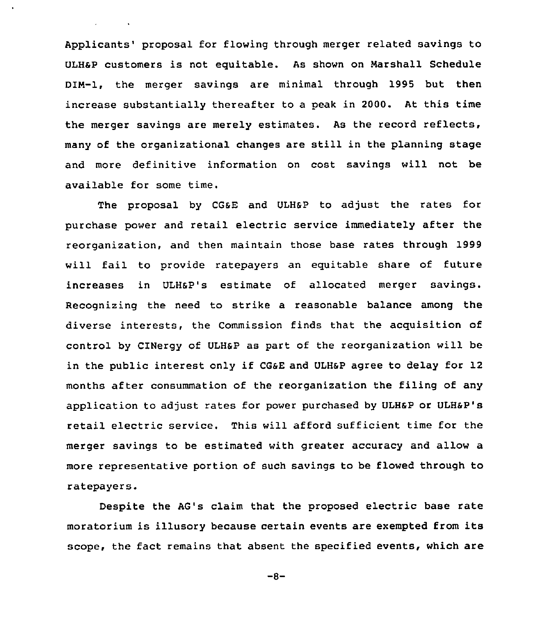Applicants' proposal for flowing through merger related savings to ULHaP customers is not eguitable. As shown on Narshall Schedule DIN-1, the merger savings are minimal through 1995 but then increase substantially thereafter to a peak in 2000. At this time the merger savings are merely estimates. As the record reflects, many of the organizational changes are still in the planning stage and more definitive information on cost savings will not be available for some time.

The proposal by CGsE and ULH&p to adjust the rates for purchase power and retail electric service immediately after the reorganization, and then maintain those base rates through 1999 will fail to provide ratepayers an equitable share of future increases in ULHSP's estimate of allocated merger savings. Recognizing the need to strike a reasonable balance among the diverse interests, the Commission finds that the acquisition of control by CINergy of ULHSP as part of the reorganization will be in the public interest only if CG&E and ULH&P agree to delay for 12 months after consummation of the reorganization the filing of any application to adjust rates for power purchased by ULH6P or ULH6P's retail electric service. This will afford sufficient time for the merger savings to be estimated with greater accuracy and allow a more representative portion of such savings to be flowed through to ratepayers.

Despite the AG's claim that the proposed electric base rate moratorium is illusory because certain events are exempted from its scope, the fact remains that absent the specified events, which are

 $-8-$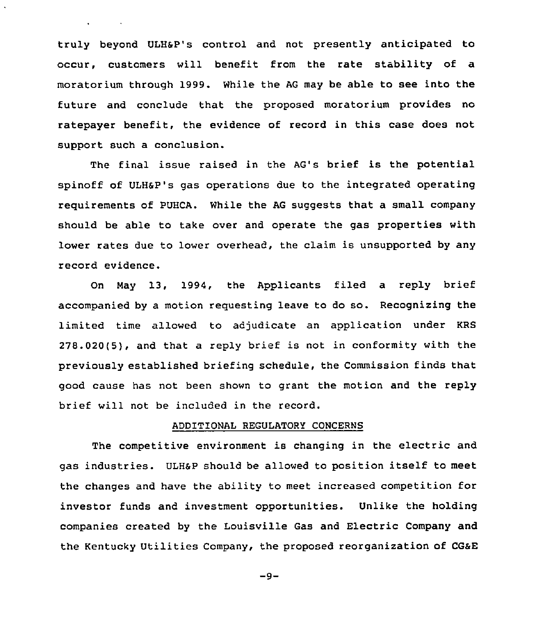truly beyond ULHSP's control and not presently anticipated to occur, customers will benefit from the rate stability of a moratorium through 1999. While the AG may be able to see into the future and conclude that the proposed moratorium provides no ratepayer benefit, the evidence of record in this case does not support such a conclusion.

The final issue raised in the AG's brief is the potential spinoff of ULHSP's gas operations due to the integrated operating requirements of PUHCA. While the AG suggests that a small company should be able to take over and operate the gas properties with lower rates due to lower overhead, the claim is unsupported by any record evidence.

On Nay 13, 1994, the Applicants filed a reply brief accompanied by a motion requesting leave to do so. Recognizing the limited time allowed to adjudicate an application under KRS 278.020(5), and that a reply brief is not in conformity with the previously established briefing schedule, the Commission finds that good cause has not been shown to grant the motion and the reply brief will not be included in the record.

### ADDITIONAL REGULATORY CONCERNS

The competitive environment is changing in the electric and gas industries. ULHSP should be allowed to position itself to meet the changes and have the ability to meet increased competition for investor funds and investment opportunities. Unlike the holding companies created by the Louisville Gas and Electric Company and the Kentucky Utilities Company, the proposed reorganization of CGaE

 $-9-$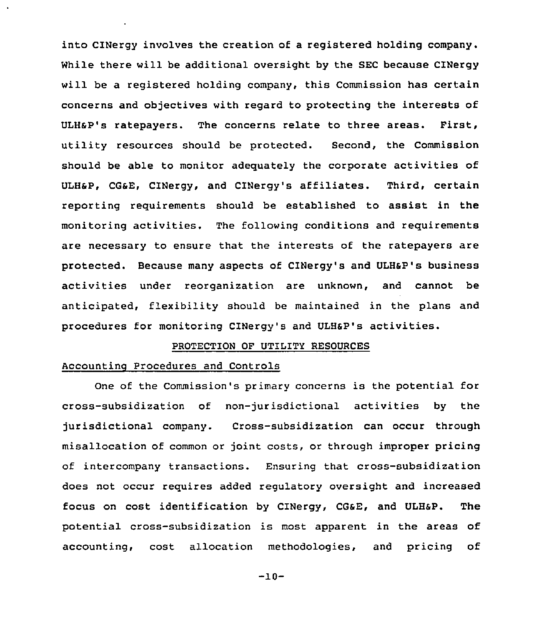into CINergy involves the creation of a registered holding company. While there will be additional oversight by the SEC because CINergy will be a registered holding company, this Commission has certain concerns and objectives with regard to protecting the interests of ULHSP's ratepayers. The concerns relate to three areas. First, utility resources should be protected. Second, the Commission should be able to monitor adequately the corporate activities of ULHap, cGsE, cINergy, and cINergy's affiliates. Third, certain reporting requirements should be established to assist in the monitoring activities. The following conditions and requirements are necessary to ensure that the interests of the ratepayers are protected. Because many aspects of CINergy's and ULH&P's business activities under reorganization are unknown, and cannot be anticipated, flexibility should be maintained in the plans and procedures for monitoring CINergy's and ULHsp's activities.

# PROTECTION OF UTILITY RESOURCES

### Accounting Procedures and Controls

One of the Commission's primary concerns is the potential for cross-subsidization of non-jurisdictional activities by the jurisdictional company. Cross-subsidization can occur through misallocation of common or joint costs, or through improper pricing of intercompany transactions. Ensuring that cross-subsidization does not occur requires added regulatory oversight and increased focus on cost identification by CINergy, CGsE, and ULHSP. The potential cross-subsidization is most apparent in the areas of accounting, cost allocation methodologies, and pricing of

-10-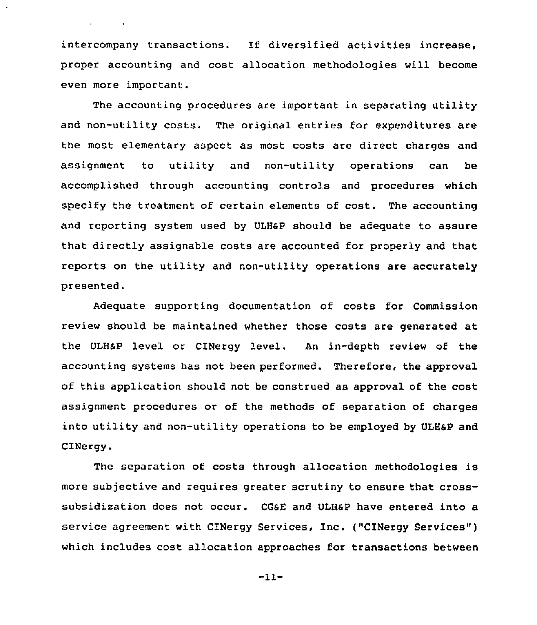intercompany transactions. If diversified activities increase, proper accounting and cost allocation methodologies will become even more important.

The accounting procedures are important in separating utility and non-utility costs. The original entries for expenditures are the most elementary aspect as most costs are direct charges and assignment to utility and non-utility operations can be accomplished through accounting controls and procedures which specify the treatment of certain elements of cost. The accounting and reporting system used by ULHaP should be adequate to assure that directly assignable costs are accounted for properly and that reports on the utility and non-utility operations are accurately presented.

Adequate supporting documentation of costs for Commission review should be maintained whether those costs are generated at the ULHaP level or CINergy level. An in-depth review of the accounting systems has not been performed. Therefore, the approval of this application should not be construed as approval of the cost assignment procedures or of the methods of separation of charges into utility and non-utility operations to be employed by ULH&P and CINergy.

The separation of costs through allocation methodologies is more subjective and requires greater scrutiny to ensure that crosssubsidization does not occur. CGsE and ULHaP have entered into a service agreement with CINergy Services, Inc. ("CINergy Services" ) which includes cost allocation approaches for transactions between

-11-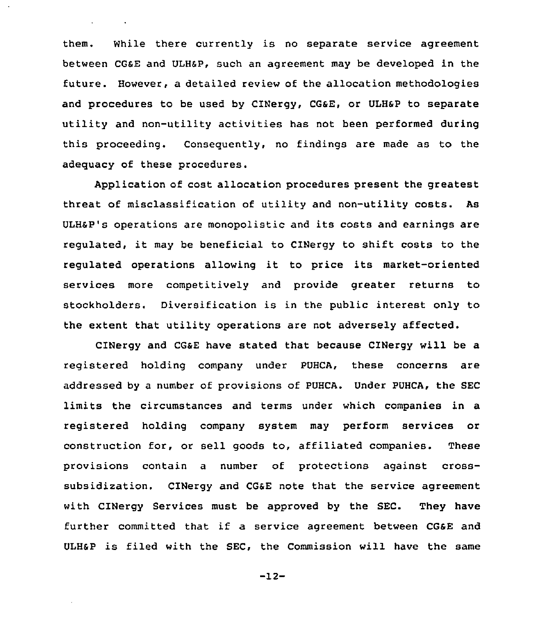them. While there currently is no separate service agreement between CGSE and ULHSP, such an agreement may be developed in the future. However, a detailed review of the allocation methodologies and procedures to be used by CINergy, CG&E, or ULH&P to separate utility and non-utility activities has not been performed during this proceeding. Consequently, no findings are made as to the adequacy of these procedures.

 $\ddot{\phantom{a}}$ 

Application of cost allocation procedures present the greatest threat of misclassification of utility and non-utility costs. As ULH&P's operations are monopolistic and its costs and earnings are regulated, it may be beneficial to CINergy to shift costs to the regulated operations allowing it to price its market-oriented services more competitively and provide greater returns to stockholders. Diversification is in the public interest only to the extent that utility operations are not adversely affected.

CINergy and CGaE have stated that because CINergy will be a registered holding company under PUHCA, these concerns are addressed by a number of provisions of PUHCA. Under PUHCA, the SEC limits the circumstances and terms under which companies in a registered holding company system may perform services or construction for, or sell goods to, affiliated companies. These provisions contain a number of protections against crosssubsidization. CINergy and CGSE note that the service agreement with CINergy Services must be approved by the SEC. They have further committed that if a service agreement between CG&E and ULHSP is filed with the SEC, the Commission will have the same

-12-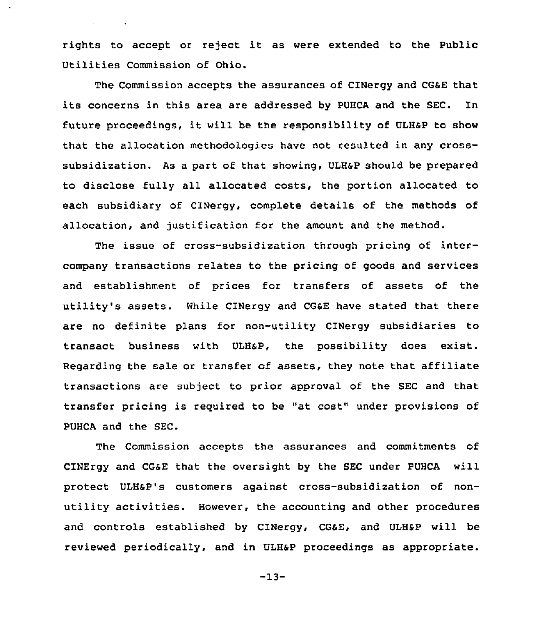rights to accept or reject it as were extended to the Public Utilities Commission of Ohio.

The Commission accepts the assurances of CINergy and CGsE that its concerns in this area are addressed by PUHCA and the SEC. In future proceedings, it will be the responsibility of ULH&P to show that the allocation methodologies have not resulted in any crosssubsidization. As a part of that showing, ULHSP should be prepared to disclose fully all allocated costs, the portion allocated to each subsidiary of CINergy, complete details of the methods of allocation, and justification for the amount and the method.

The issue of cross-subsidization through pricing of intercompany transactions relates to the pricing of goods and services and establishment of prices for transfers of assets of the utility's assets. While CINergy and CG&E have stated that there are no definite plans for non-utility CINergy subsidiaries to transact business with ULHSP, the possibility does exist. Regarding the sale or transfer of assets, they note that affiliate transactions are subject to prior approval of the SEC and that transfer pricing is required to be "at cost" under provisions of PUHCA and the SEC.

The Commission accepts the assurances and commitments of CINErgy and CGSE that the oversight by the SEC under PUHCA will protect ULHSP's customers against crass-subsidization of nonutility activities. However, the accounting and other procedures and controls established by CINergy, CGsE, and ULHSP will be reviewed periodically, and in ULHSP proceedings as appropriate.

-13-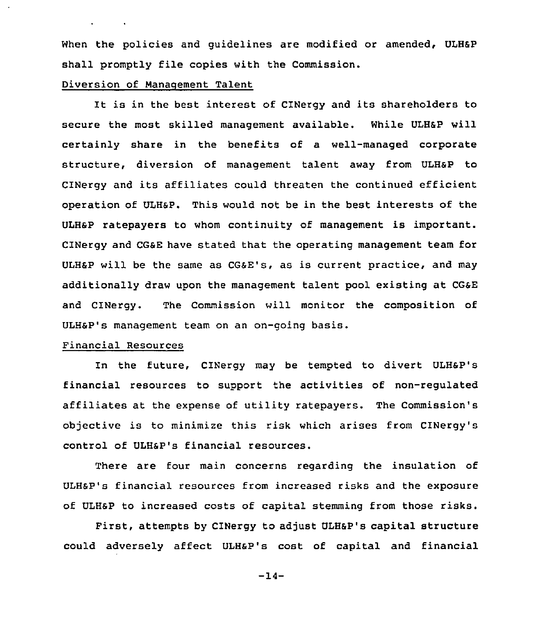When the policies and quidelines are modified or amended, ULH&P shall promptly file copies with the Commission.

## Diversion of Manaqement Talent

 $\mathbf{r} = \mathbf{r} \times \mathbf{r}$  , where  $\mathbf{r} = \mathbf{r} \times \mathbf{r}$ 

It is in the best interest of CINergy and its shareholders to secure the most skilled management available. While ULHSP will certainly share in the benefits of a well-managed corporate structure, diversion of management talent away from ULHSP to CINergy and its affiliates could threaten the continued efficient operation of ULHaP. This would not be in the best interests of the ULHSP ratepayers to whom continuity of management is important. CINergy and CGSE have stated that the operating management team for ULHSP will be the same as CGsE's, as is current practice, and may additionally draw upon the management talent pool existing at CGSE and CINergy. The Commission will monitor the composition of ULHSP's management team on an on-going basis.

### Financial Resources

In the future, CINergy may be tempted to divert ULH6P's financial resources to support the activities of non-regulated affiliates at the expense of utility ratepayers. The Commission's objective is to minimize this risk which arises from CINergy's control of ULHSP's financial resources.

There are four main concerns regarding the insulation of ULHaP's financial resources from increased risks and the exposure of ULHSP to increased costs of capital stemming from those risks.

First, attempts by CINergy to adjust ULHSP's capital structure could adversely affect ULHaP's cost of capital and financial

 $-14-$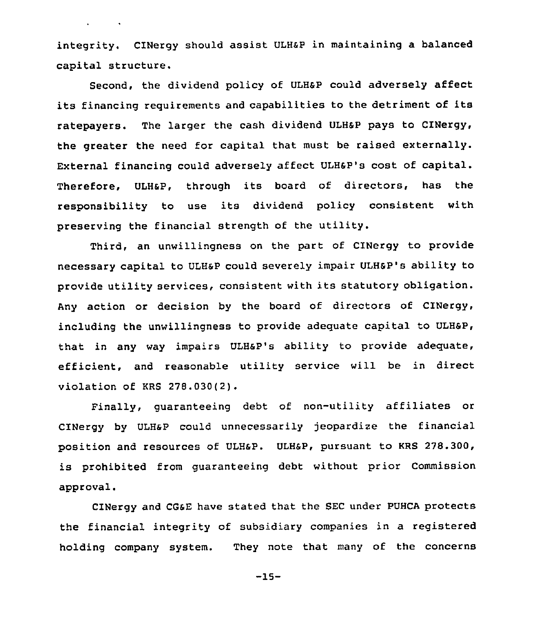integrity. CINergy should assist ULHSP in maintaining a balanced capital structure.

 $\mathbf{r} = \mathbf{r} \times \mathbf{r}$  , where  $\mathbf{r}$ 

Second, the dividend policy of ULHSP could adversely affect its financing requirements and capabilities to the detriment of its ratepayers. The larger the cash dividend ULH&P pays to CINergy, the greater the need for capital that must be raised externally. External financing could adversely affect ULHsP's cost of capital. Therefore, ULH&P, through its board of directors, has the responsibility to use its dividend policy consistent with preserving the financial strength of the utility.

Third, an unwillingness on the part of CINergy to provide necessary capital to ULHsp could severely impair ULHsp's ability to provide utility services, consistent with its statutory obligation. Any action or decision by the board of directors of CINergy, including the unwillingness to provide adequate capital to ULHsP, that in any way impairs ULHaP's ability to provide adequate, efficient, and reasonable utility service will be in direct violation of KRS 278.030(2).

Finally, guaranteeing debt of non-utility affiliates or CINergy by ULHsP could unnecessarily jeopardize the financial position and resources of ULH&P. ULH&P, pursuant to KRS 278.300, is prohibited from guaranteeing debt without prior Commission approval.

CINergy and CG6E have stated that the SEC under PUHCA protects the financial integrity of subsidiary companies in a registered holding company system. They note that many of the concerns

 $-15-$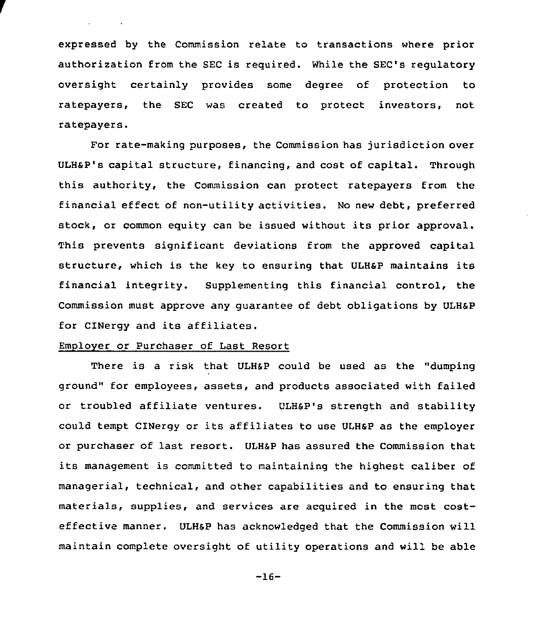expressed by the Commission relate to transactions where prior authorization from the SEC is required. While the SEC's regulatory oversight certainly provides some degree of protection to ratepayers, the SEC was created to protect investors, not ratepayers.

For rate-making purposes, the Commission has jurisdiction over ULHSP's capital structure, financing, and cost of capital. Through this authority, the Commission can protect ratepayers from the financial effect of non-utility activities. No new debt, preferred stock, or common equity can be issued without its prior approval. This prevents significant deviations from the approved capital structure, which is the key to ensuring that ULHap maintains its financial integrity. Supplementing this financial control, the Commission must approve any guarantee of debt obligations by ULHSP for CINergy and its affiliates.

# Employer or Purchaser of Last Resort

There is a risk that ULHSP could be used as the "dumping ground" for employees, assets, and products associated with failed or troubled affiliate ventures. ULH&P's strength and stability could tempt CINergy or its affiliates to use ULHsP as the employer or purchaser of last resort. ULHSP has assured the Commission that its management is committed to maintaining the highest caliber of managerial, technical, and other capabilities and to ensuring that materials, supplies, and services are acquired in the most costeffective manner. ULHsP has acknowledged that the Commission will maintain complete oversight of utility operations and will be able

 $-16-$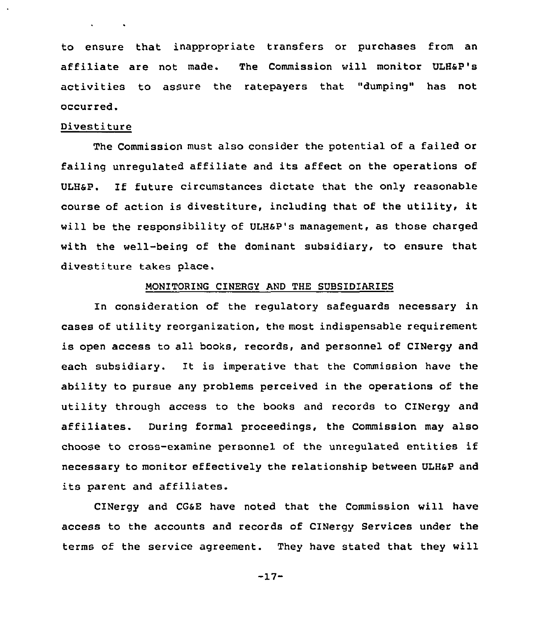to ensure that inappropriate transfers or purchases from an affiliate are not made. The Commission will monitor ULHap's activities to assure the ratepayers that "dumping" has not occurred.

## Divestiture

The Commission must also consider the potential of a failed or failing unregulated affiliate and its affect on the operations of ULHaP. If future circumstances dictate that the only reasonable course of action is divestiture, including that of the utility, it will be the responsibility of ULHaP's management, as those charged with the well-being of the dominant subsidiary, to ensure that divestiture takes place.

#### MONITORING CINERGY AND THE SUBSIDIARIES

In consideration of the regulatory safeguards necessary in cases of utility reorganization, the most indispensable requirement is open access to all books, records, and personnel of CINergy and each subsidiary. It is imperative that the Commission have the ability to pursue any problems perceived in the operations of the utility through access to the books and records to CINergy and affiliates. During formal proceedings, the Commission may also choose to cross-examine personnel of the unregulated entities if necessary to monitor effectively the relationship between ULHSP and its parent and affiliates.

CINergy and CGaE have noted that the Commission will have access to the accounts and records of CINergy Services under the terms of the service agreement. They have stated that they will

-17-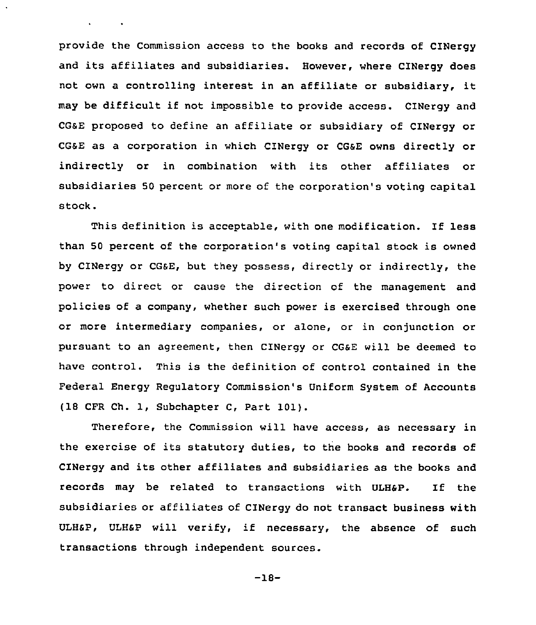provide the Commission access to the books and records of CINergy and its affiliates and subsidiaries. However, where CINergy does not own <sup>a</sup> controlling interest in an affiliate or subsidiary, it may be difficult if not impossible to provide access. CINergy and CG6E proposed to define an affiliate or subsidiary of CINergy or CG&E as a corporation in which CINergy or CGSE owns directly or indirectly or in combination with its other affiliates or subsidiaries 50 percent or more of the corporation's voting capital stock.

This definition is acceptable, with one modification. If less than 50 percent of the corporation's voting capital stock is owned by CINergy or CG&E, but they possess, directly or indirectly, the power to direct or cause the direction of the management and policies of a company, whether such power is exercised through one or more intermediary companies, or alone, or in conjunction or pursuant to an agreement, then CINergy or CGaE will be deemed to have control. This is the definition of control contained in the Federal Energy Regulatory Commission's Uniform System of Accounts (18 CFR Ch. 1, Subchapter C, Part 101).

Therefore, the Commission will have access, as necessary in the exercise of its statutory duties, to the books and records of CINergy and its other affiliates and subsidiaries as the books and records may be related to transactions with ULH&P. If the subsidiaries or affiliates of CINergy do not transact business with ULHSP, ULHSP will verify, if necessary, the absence of such transactions through independent sources.

$$
-18-
$$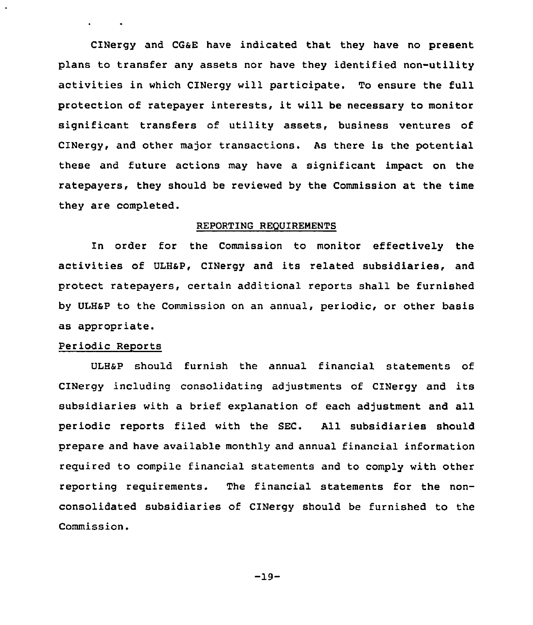CINergy and CGSE have indicated that they have no present plans to transfer any assets nor have they identified non-utility activities in which CINergy will participate. To ensure the full protection of ratepayer interests, it will be necessary to monitor significant transfers of utility assets, business ventures of CINergy, and other major transactions. As there is the potential these and future actions may have a significant impact on the ratepayers, they should be reviewed by the Commission at the time they are completed.

#### REPORTING REQUIREMENTS

In order for the Commission to monitor effectively the activities of ULHsP, CINergy and its related subsidiaries, and protect ratepayers, certain additional reports shall be furnished by ULHsP to the Commission on an annual, periodic, or other basis as appropriate.

# Periodic Reports

ULHSP should furnish the annual financial statements of CINergy including consolidating adjustments of CINergy and its subsidiaries with a brief explanation of each adjustment and all periodic reports filed with the SEC. All subsidiaries should prepare and have available monthly and annual financial information required to compile financial statements and to comply with other reporting requirements. The financial statements for the nonconsolidated subsidiaries of CINergy should be furnished to the Commission.

 $-19-$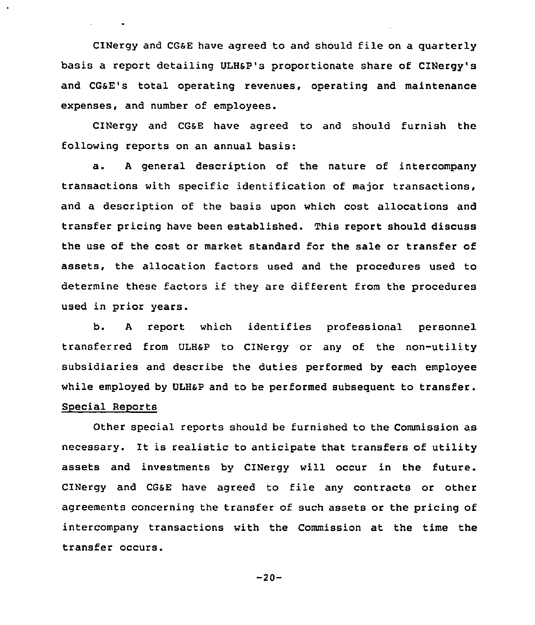CINergy and CGaE have agreed to and should file on a quarterly basis a report detailing ULHsp's proportionate share of cINergy's and CGaE's total operating revenues, operating and maintenance expenses, and number of employees.

CINergy and CGSE have agreed to and should furnish the following reports on an annual basis:

a. <sup>A</sup> general description of the nature of intercompany transactions with specific identification of major transactions, and a description of the basis upon which cost allocations and transfer pricing have been established. This report should discuss the use of the cost or market standard for the sale or transfer of assets, the allocation factors used and the procedures used to determine these factors if they are different from the procedures used in prior years.

b. <sup>A</sup> report which identifies professional personnel transferred from ULHSP to CINergy or any of the non-utility subsidiaries and describe the duties performed by each employee while employed by ULHSP and to be performed subsequent to transfer. Special Reports

Other special reports should be furnished to the Commission as necessary. It is realistic to anticipate that transfers of utility assets and investments by C1Nergy will occur in the future. CINergy and CGsE have agreed to file any contracts or other agreements concerning the transfer of such assets or the pricing of intercompany transactions with the Commission at the time the transfer occurs.

 $-20-$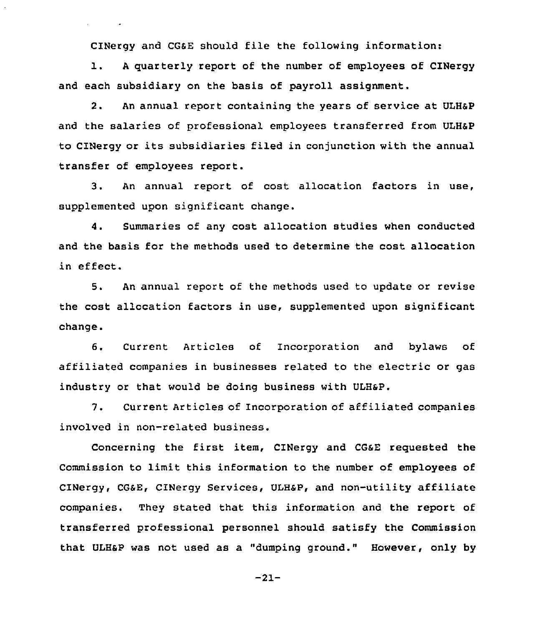CINergy and CGsE should file the following information:

l. <sup>A</sup> quarterly report of the number of employees of CINergy and each subsidiary on the basis of payroll assignment.

2. An annual report containing the years of service at ULHSP and the salaries of professional employees transferred from ULHSP to CINergy or its subsidiaries filed in conjunction with the annual transfer of employees report.

3. An annual report of cost allocation factors in use, supplemented upon significant change.

4. Summaries of any cost allocation studies when conducted and the basis for the methods used to determine the cost allocation in effect.

5. An annual report of the methods used to update or revise the cost allocation factors in use, supplemented upon significant change.

6. Current Articles of Incorporation and bylaws of affiliated companies in businesses related to the electric or gas industry or that would be doing business with ULH&P.

7. Current Articles of Incorporation of affiliated companies involved in non-related business.

Concerning the first item, CINergy and CGsE requested the Commission to limit this information to the number of employees of CINergy, CGSE, CINergy Services, ULHSP, and non-utility affiliate companies. They stated that this information and the report of transferred professional personnel should satisfy the Commission that ULHSP was not used as a "dumping ground." However, only by

-21-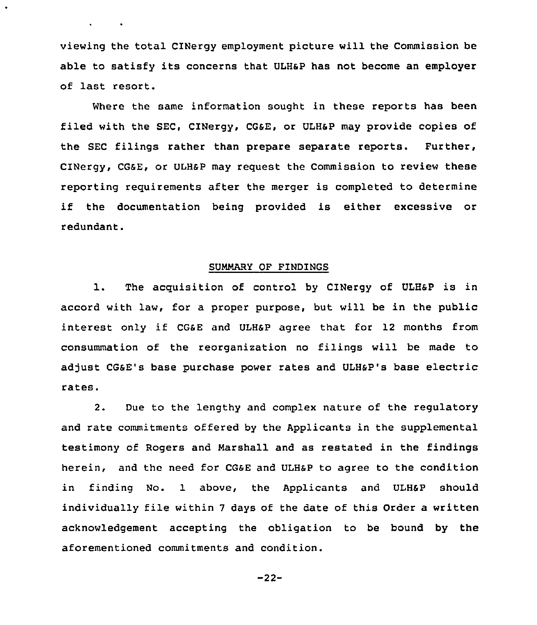viewing the total CINergy employment picture will the Commission be able to satisfy its concerns that ULHSP has not become an employer of last resort.

 $\ddot{\phantom{0}}$ 

Where the same information sought in these reports has been filed with the SEC, CINergy, CGSE, or ULH&P may provide copies of the SEC filings rather than prepare separate reports. Further, cINergy, cG6E, or ULHsp may request the commission to review these reporting requirements after the merger is completed to determine if the documentation being provided is either excessive or redundant.

### SUMMARY OF FINDINGS

1. The acquisition of control by CINergy of ULH6P is in accord with law, for a proper purpose, but will be in the public interest only if CG&E and ULH&P agree that for 12 months from consummation of the reorganization no filings will be made to adjust CGsE's base purchase power rates and ULHSP's base electric rates.

2. Due to the lengthy and complex nature of the regulatory and rate commitments offered by the Applicants in the supplemental testimony of Rogers and Marshall and as restated in the findings herein, and the need for CGSE and ULHSP to agree to the condition in finding No. 1 above, the Applicants and ULHSP should individually file within <sup>7</sup> days of the date of this Order a written acknowledgement accepting the obligation to be bound by the aforementioned commitments and condition.

-22-